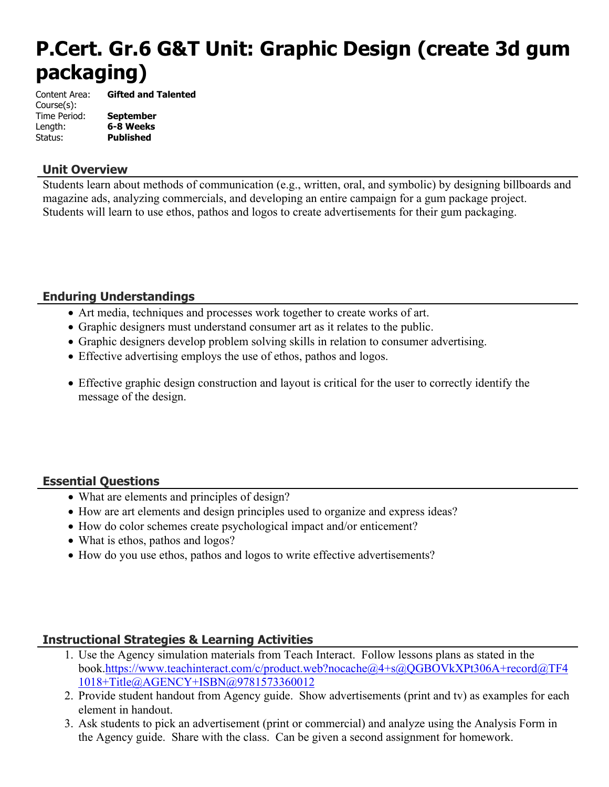# **P.Cert. Gr.6 G&T Unit: Graphic Design (create 3d gum packaging)**

Content Area: **Gifted and Talented** Course(s): Time Period: **September** Length: **6-8 Weeks** Status: **Published**

#### **Unit Overview**

Students learn about methods of communication (e.g., written, oral, and symbolic) by designing billboards and magazine ads, analyzing commercials, and developing an entire campaign for a gum package project. Students will learn to use ethos, pathos and logos to create advertisements for their gum packaging.

## **Enduring Understandings**

- Art media, techniques and processes work together to create works of art.
- Graphic designers must understand consumer art as it relates to the public.
- Graphic designers develop problem solving skills in relation to consumer advertising.
- Effective advertising employs the use of ethos, pathos and logos.
- Effective graphic design construction and layout is critical for the user to correctly identify the message of the design.

## **Essential Questions**

- What are elements and principles of design?
- How are art elements and design principles used to organize and express ideas?
- How do color schemes create psychological impact and/or enticement?
- What is ethos, pathos and logos?
- How do you use ethos, pathos and logos to write effective advertisements?

## **Instructional Strategies & Learning Activities**

- 1. Use the Agency simulation materials from Teach Interact. Follow lessons plans as stated in the book.[https://www.teachinteract.com/c/product.web?nocache@4+s@QGBOVkXPt306A+record@TF4](https://www.teachinteract.com/c/product.web?nocache@4+s@QGBOVkXPt306A+record@TF41018+Title@AGENCY+ISBN@9781573360012) [1018+Title@AGENCY+ISBN@9781573360012](https://www.teachinteract.com/c/product.web?nocache@4+s@QGBOVkXPt306A+record@TF41018+Title@AGENCY+ISBN@9781573360012)
- 2. Provide student handout from Agency guide. Show advertisements (print and tv) as examples for each element in handout.
- 3. Ask students to pick an advertisement (print or commercial) and analyze using the Analysis Form in the Agency guide. Share with the class. Can be given a second assignment for homework.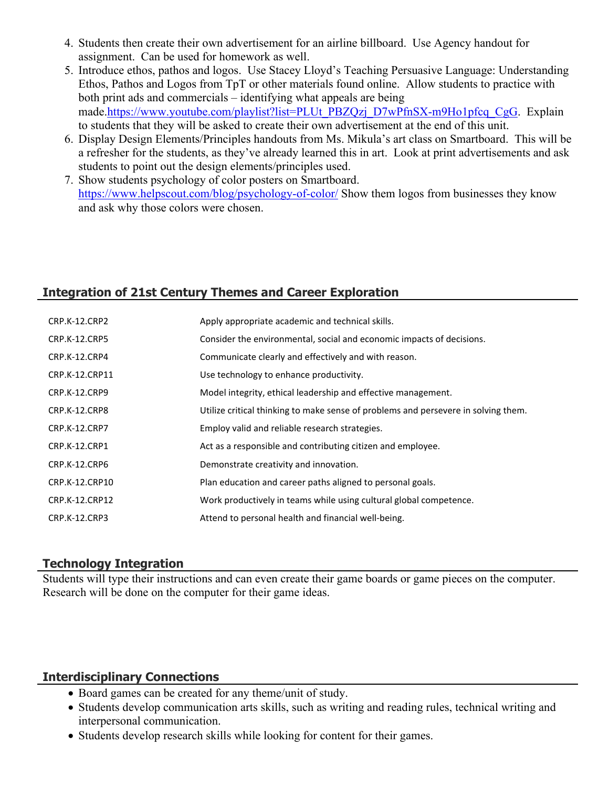- 4. Students then create their own advertisement for an airline billboard. Use Agency handout for assignment. Can be used for homework as well.
- 5. Introduce ethos, pathos and logos. Use Stacey Lloyd's Teaching Persuasive Language: Understanding Ethos, Pathos and Logos from TpT or other materials found online. Allow students to practice with both print ads and commercials – identifying what appeals are being made.[https://www.youtube.com/playlist?list=PLUt\\_PBZQzj\\_D7wPfnSX-m9Ho1pfcq\\_CgG.](https://www.youtube.com/playlist?list=PLUt_PBZQzj_D7wPfnSX-m9Ho1pfcq_CgG) Explain to students that they will be asked to create their own advertisement at the end of this unit.
- 6. Display Design Elements/Principles handouts from Ms. Mikula's art class on Smartboard. This will be a refresher for the students, as they've already learned this in art. Look at print advertisements and ask students to point out the design elements/principles used.
- 7. Show students psychology of color posters on Smartboard. <https://www.helpscout.com/blog/psychology-of-color/> Show them logos from businesses they know and ask why those colors were chosen.

## **Integration of 21st Century Themes and Career Exploration**

| <b>CRP.K-12.CRP2</b> | Apply appropriate academic and technical skills.                                   |
|----------------------|------------------------------------------------------------------------------------|
| CRP.K-12.CRP5        | Consider the environmental, social and economic impacts of decisions.              |
| CRP.K-12.CRP4        | Communicate clearly and effectively and with reason.                               |
| CRP.K-12.CRP11       | Use technology to enhance productivity.                                            |
| CRP.K-12.CRP9        | Model integrity, ethical leadership and effective management.                      |
| CRP.K-12.CRP8        | Utilize critical thinking to make sense of problems and persevere in solving them. |
| <b>CRP.K-12.CRP7</b> | Employ valid and reliable research strategies.                                     |
| CRP.K-12.CRP1        | Act as a responsible and contributing citizen and employee.                        |
| CRP.K-12.CRP6        | Demonstrate creativity and innovation.                                             |
| CRP.K-12.CRP10       | Plan education and career paths aligned to personal goals.                         |
| CRP.K-12.CRP12       | Work productively in teams while using cultural global competence.                 |
| CRP.K-12.CRP3        | Attend to personal health and financial well-being.                                |

#### **Technology Integration**

Students will type their instructions and can even create their game boards or game pieces on the computer. Research will be done on the computer for their game ideas.

#### **Interdisciplinary Connections**

- Board games can be created for any theme/unit of study.
- Students develop communication arts skills, such as writing and reading rules, technical writing and interpersonal communication.
- Students develop research skills while looking for content for their games.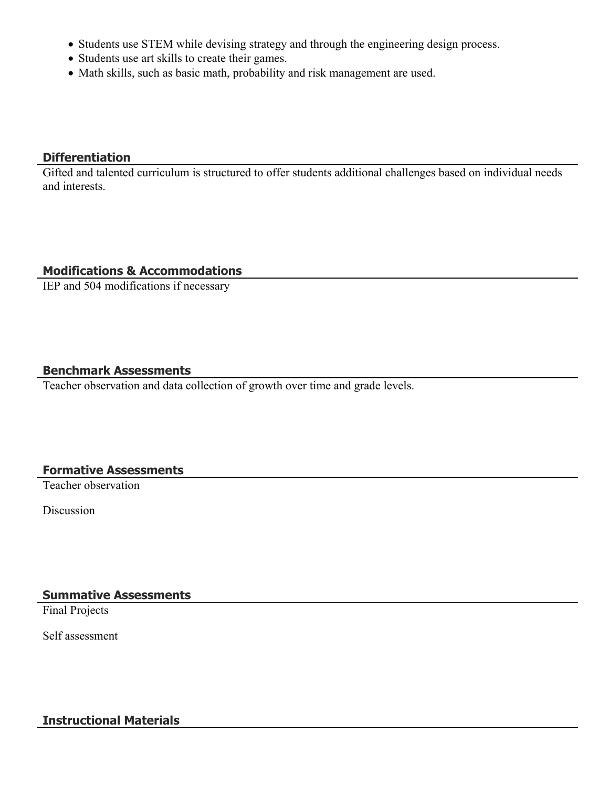- Students use STEM while devising strategy and through the engineering design process.
- Students use art skills to create their games.
- Math skills, such as basic math, probability and risk management are used.

## **Differentiation**

Gifted and talented curriculum is structured to offer students additional challenges based on individual needs and interests.

## **Modifications & Accommodations**

IEP and 504 modifications if necessary

## **Benchmark Assessments**

Teacher observation and data collection of growth over time and grade levels.

## **Formative Assessments**

Teacher observation

Discussion

**Summative Assessments**

Final Projects

Self assessment

## **Instructional Materials**